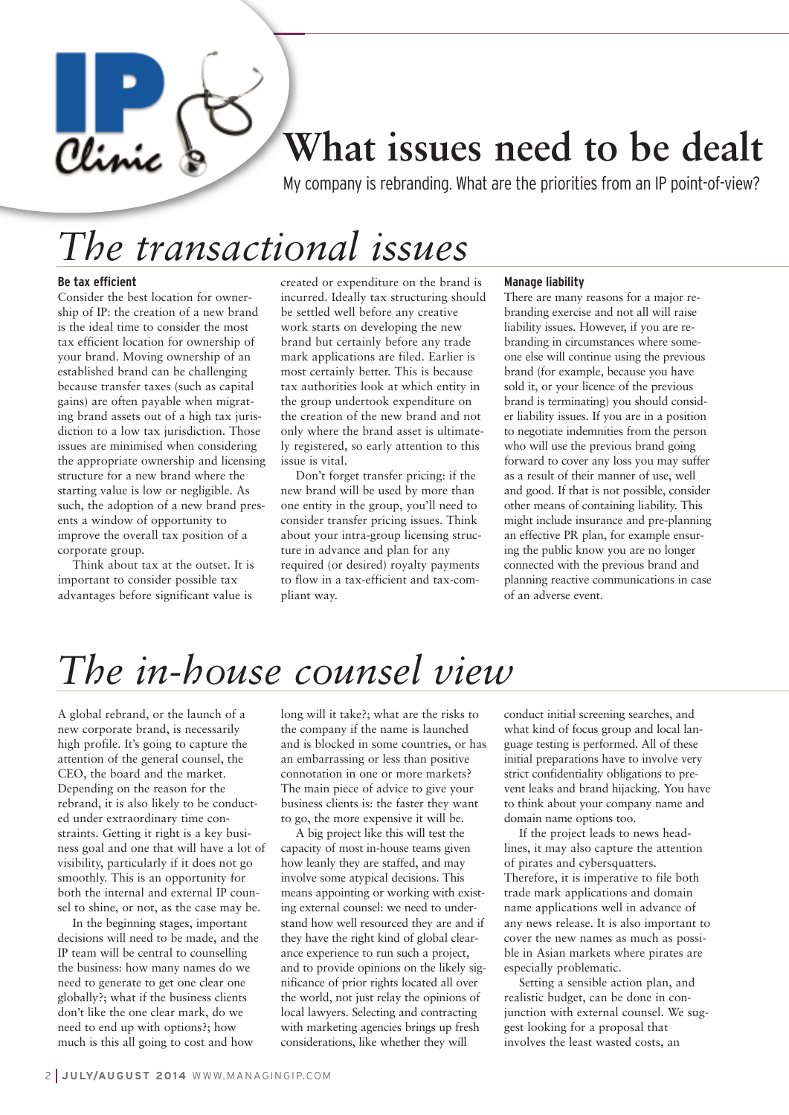### **What issues need to be dealt**

My company is rebranding. What are the priorities from an IP point-of-view?

## *The transactional issues*

#### **Be tax efficient**

Clinic

Consider the best location for ownership of IP: the creation of a new brand is the ideal time to consider the most tax efficient location for ownership of your brand. Moving ownership of an established brand can be challenging because transfer taxes (such as capital gains) are often payable when migrating brand assets out of a high tax jurisdiction to a low tax jurisdiction. Those issues are minimised when considering the appropriate ownership and licensing structure for a new brand where the starting value is low or negligible. As such, the adoption of a new brand presents a window of opportunity to improve the overall tax position of a corporate group.

Think about tax at the outset. It is important to consider possible tax advantages before significant value is

created or expenditure on the brand is incurred. Ideally tax structuring should be settled well before any creative work starts on developing the new brand but certainly before any trade mark applications are filed. Earlier is most certainly better. This is because tax authorities look at which entity in the group undertook expenditure on the creation of the new brand and not only where the brand asset is ultimately registered, so early attention to this issue is vital.

Don't forget transfer pricing: if the new brand will be used by more than one entity in the group, you'll need to consider transfer pricing issues. Think about your intra-group licensing structure in advance and plan for any required (or desired) royalty payments to flow in a tax-efficient and tax-compliant way.

#### **Manage liability**

There are many reasons for a major rebranding exercise and not all will raise liability issues. However, if you are rebranding in circumstances where someone else will continue using the previous brand (for example, because you have sold it, or your licence of the previous brand is terminating) you should consider liability issues. If you are in a position to negotiate indemnities from the person who will use the previous brand going forward to cover any loss you may suffer as a result of their manner of use, well and good. If that is not possible, consider other means of containing liability. This might include insurance and pre-planning an effective PR plan, for example ensuring the public know you are no longer connected with the previous brand and planning reactive communications in case of an adverse event.

# *The in-house counsel view*

A global rebrand, or the launch of a new corporate brand, is necessarily high profile. It's going to capture the attention of the general counsel, the CEO, the board and the market. Depending on the reason for the rebrand, it is also likely to be conducted under extraordinary time constraints. Getting it right is a key business goal and one that will have a lot of visibility, particularly if it does not go smoothly. This is an opportunity for both the internal and external IP counsel to shine, or not, as the case may be.

In the beginning stages, important decisions will need to be made, and the IP team will be central to counselling the business: how many names do we need to generate to get one clear one globally?; what if the business clients don't like the one clear mark, do we need to end up with options?; how much is this all going to cost and how

long will it take?; what are the risks to the company if the name is launched and is blocked in some countries, or has an embarrassing or less than positive connotation in one or more markets? The main piece of advice to give your business clients is: the faster they want to go, the more expensive it will be.

A big project like this will test the capacity of most in-house teams given how leanly they are staffed, and may involve some atypical decisions. This means appointing or working with existing external counsel: we need to understand how well resourced they are and if they have the right kind of global clearance experience to run such a project, and to provide opinions on the likely significance of prior rights located all over the world, not just relay the opinions of local lawyers. Selecting and contracting with marketing agencies brings up fresh considerations, like whether they will

conduct initial screening searches, and what kind of focus group and local language testing is performed. All of these initial preparations have to involve very strict confidentiality obligations to prevent leaks and brand hijacking. You have to think about your company name and domain name options too.

If the project leads to news headlines, it may also capture the attention of pirates and cybersquatters. Therefore, it is imperative to file both trade mark applications and domain name applications well in advance of any news release. It is also important to cover the new names as much as possible in Asian markets where pirates are especially problematic.

Setting a sensible action plan, and realistic budget, can be done in conjunction with external counsel. We suggest looking for a proposal that involves the least wasted costs, an